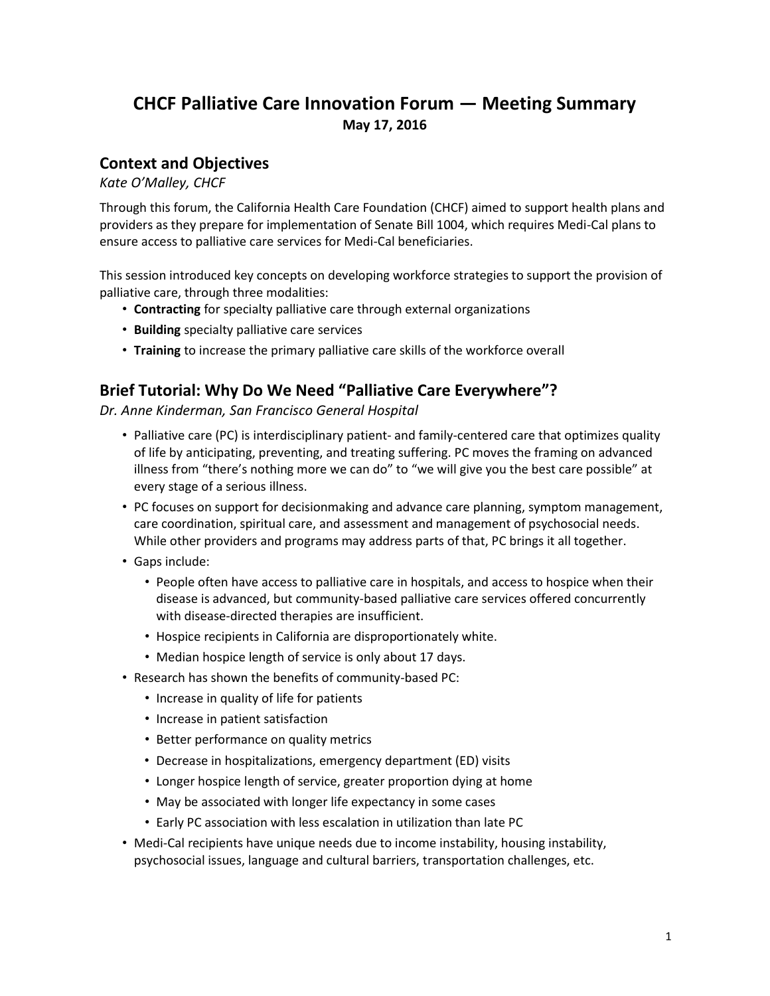# **CHCF Palliative Care Innovation Forum — Meeting Summary May 17, 2016**

## **Context and Objectives**

*Kate O'Malley, CHCF*

Through this forum, the California Health Care Foundation (CHCF) aimed to support health plans and providers as they prepare for implementation of Senate Bill 1004, which requires Medi-Cal plans to ensure access to palliative care services for Medi-Cal beneficiaries.

This session introduced key concepts on developing workforce strategies to support the provision of palliative care, through three modalities:

- **Contracting** for specialty palliative care through external organizations
- **Building** specialty palliative care services
- **Training** to increase the primary palliative care skills of the workforce overall

## **Brief Tutorial: Why Do We Need "Palliative Care Everywhere"?**

*Dr. Anne Kinderman, San Francisco General Hospital*

- Palliative care (PC) is interdisciplinary patient- and family-centered care that optimizes quality of life by anticipating, preventing, and treating suffering. PC moves the framing on advanced illness from "there's nothing more we can do" to "we will give you the best care possible" at every stage of a serious illness.
- PC focuses on support for decisionmaking and advance care planning, symptom management, care coordination, spiritual care, and assessment and management of psychosocial needs. While other providers and programs may address parts of that, PC brings it all together.
- Gaps include:
	- People often have access to palliative care in hospitals, and access to hospice when their disease is advanced, but community-based palliative care services offered concurrently with disease-directed therapies are insufficient.
	- Hospice recipients in California are disproportionately white.
	- Median hospice length of service is only about 17 days.
- Research has shown the benefits of community-based PC:
	- Increase in quality of life for patients
	- Increase in patient satisfaction
	- Better performance on quality metrics
	- Decrease in hospitalizations, emergency department (ED) visits
	- Longer hospice length of service, greater proportion dying at home
	- May be associated with longer life expectancy in some cases
	- Early PC association with less escalation in utilization than late PC
- Medi-Cal recipients have unique needs due to income instability, housing instability, psychosocial issues, language and cultural barriers, transportation challenges, etc.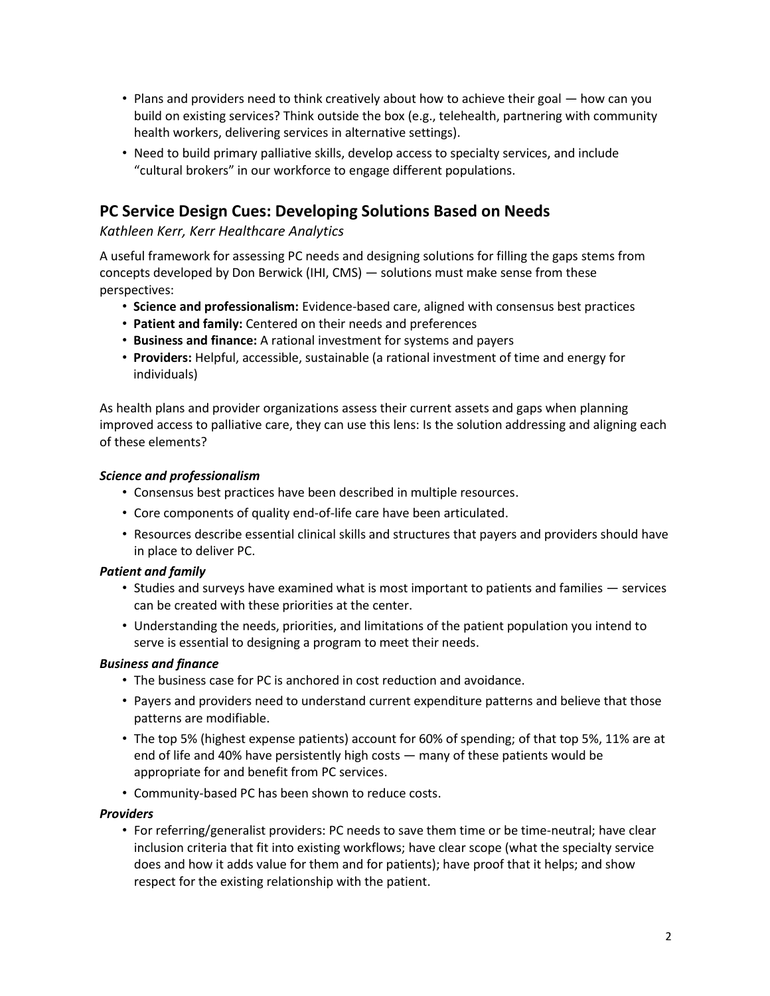- Plans and providers need to think creatively about how to achieve their goal how can you build on existing services? Think outside the box (e.g., telehealth, partnering with community health workers, delivering services in alternative settings).
- Need to build primary palliative skills, develop access to specialty services, and include "cultural brokers" in our workforce to engage different populations.

## **PC Service Design Cues: Developing Solutions Based on Needs**

## *Kathleen Kerr, Kerr Healthcare Analytics*

A useful framework for assessing PC needs and designing solutions for filling the gaps stems from concepts developed by Don Berwick (IHI, CMS) — solutions must make sense from these perspectives:

- **Science and professionalism:** Evidence-based care, aligned with consensus best practices
- **Patient and family:** Centered on their needs and preferences
- **Business and finance:** A rational investment for systems and payers
- **Providers:** Helpful, accessible, sustainable (a rational investment of time and energy for individuals)

As health plans and provider organizations assess their current assets and gaps when planning improved access to palliative care, they can use this lens: Is the solution addressing and aligning each of these elements?

#### *Science and professionalism*

- Consensus best practices have been described in multiple resources.
- Core components of quality end-of-life care have been articulated.
- Resources describe essential clinical skills and structures that payers and providers should have in place to deliver PC.

## *Patient and family*

- Studies and surveys have examined what is most important to patients and families services can be created with these priorities at the center.
- Understanding the needs, priorities, and limitations of the patient population you intend to serve is essential to designing a program to meet their needs.

## *Business and finance*

- The business case for PC is anchored in cost reduction and avoidance.
- Payers and providers need to understand current expenditure patterns and believe that those patterns are modifiable.
- The top 5% (highest expense patients) account for 60% of spending; of that top 5%, 11% are at end of life and 40% have persistently high costs — many of these patients would be appropriate for and benefit from PC services.
- Community-based PC has been shown to reduce costs.

#### *Providers*

• For referring/generalist providers: PC needs to save them time or be time-neutral; have clear inclusion criteria that fit into existing workflows; have clear scope (what the specialty service does and how it adds value for them and for patients); have proof that it helps; and show respect for the existing relationship with the patient.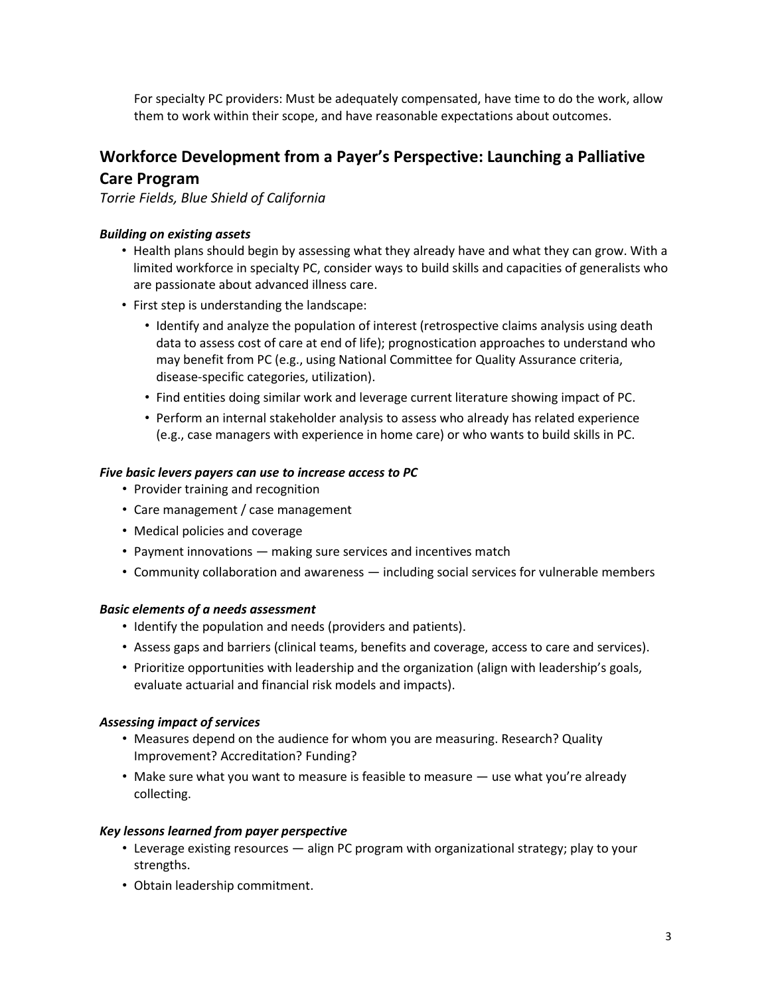For specialty PC providers: Must be adequately compensated, have time to do the work, allow them to work within their scope, and have reasonable expectations about outcomes.

## **Workforce Development from a Payer's Perspective: Launching a Palliative Care Program**

*Torrie Fields, Blue Shield of California*

#### *Building on existing assets*

- Health plans should begin by assessing what they already have and what they can grow. With a limited workforce in specialty PC, consider ways to build skills and capacities of generalists who are passionate about advanced illness care.
- First step is understanding the landscape:
	- Identify and analyze the population of interest (retrospective claims analysis using death data to assess cost of care at end of life); prognostication approaches to understand who may benefit from PC (e.g., using National Committee for Quality Assurance criteria, disease-specific categories, utilization).
	- Find entities doing similar work and leverage current literature showing impact of PC.
	- Perform an internal stakeholder analysis to assess who already has related experience (e.g., case managers with experience in home care) or who wants to build skills in PC.

#### *Five basic levers payers can use to increase access to PC*

- Provider training and recognition
- Care management / case management
- Medical policies and coverage
- Payment innovations making sure services and incentives match
- Community collaboration and awareness including social services for vulnerable members

#### *Basic elements of a needs assessment*

- Identify the population and needs (providers and patients).
- Assess gaps and barriers (clinical teams, benefits and coverage, access to care and services).
- Prioritize opportunities with leadership and the organization (align with leadership's goals, evaluate actuarial and financial risk models and impacts).

#### *Assessing impact of services*

- Measures depend on the audience for whom you are measuring. Research? Quality Improvement? Accreditation? Funding?
- Make sure what you want to measure is feasible to measure use what you're already collecting.

#### *Key lessons learned from payer perspective*

- Leverage existing resources align PC program with organizational strategy; play to your strengths.
- Obtain leadership commitment.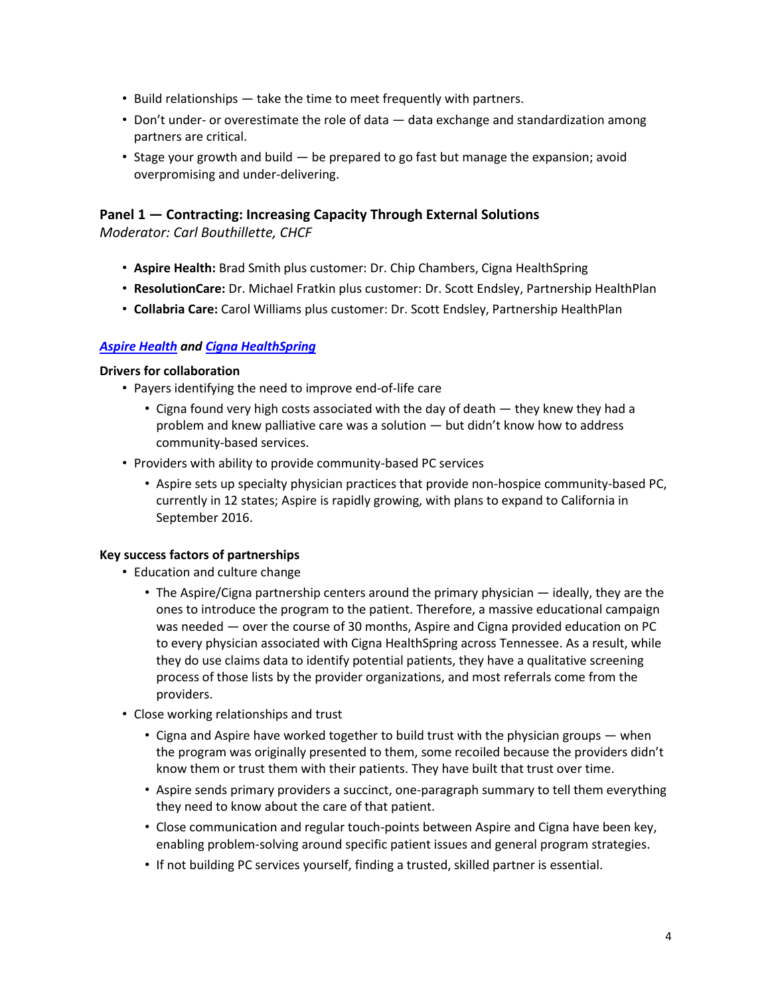- Build relationships take the time to meet frequently with partners.
- Don't under- or overestimate the role of data data exchange and standardization among partners are critical.
- Stage your growth and build be prepared to go fast but manage the expansion; avoid overpromising and under-delivering.

## **Panel 1 — Contracting: Increasing Capacity Through External Solutions**

*Moderator: Carl Bouthillette, CHCF*

- **Aspire Health:** Brad Smith plus customer: Dr. Chip Chambers, Cigna HealthSpring
- **ResolutionCare:** Dr. Michael Fratkin plus customer: Dr. Scott Endsley, Partnership HealthPlan
- **Collabria Care:** Carol Williams plus customer: Dr. Scott Endsley, Partnership HealthPlan

## *[Aspire Health](https://www.aspirehealthplan.org/) and [Cigna HealthSpring](http://www.cigna.com/medicare/cigna-healthspring)*

#### **Drivers for collaboration**

- Payers identifying the need to improve end-of-life care
	- Cigna found very high costs associated with the day of death they knew they had a problem and knew palliative care was a solution — but didn't know how to address community-based services.
- Providers with ability to provide community-based PC services
	- Aspire sets up specialty physician practices that provide non-hospice community-based PC, currently in 12 states; Aspire is rapidly growing, with plans to expand to California in September 2016.

#### **Key success factors of partnerships**

- Education and culture change
	- The Aspire/Cigna partnership centers around the primary physician ideally, they are the ones to introduce the program to the patient. Therefore, a massive educational campaign was needed — over the course of 30 months, Aspire and Cigna provided education on PC to every physician associated with Cigna HealthSpring across Tennessee. As a result, while they do use claims data to identify potential patients, they have a qualitative screening process of those lists by the provider organizations, and most referrals come from the providers.
- Close working relationships and trust
	- Cigna and Aspire have worked together to build trust with the physician groups when the program was originally presented to them, some recoiled because the providers didn't know them or trust them with their patients. They have built that trust over time.
	- Aspire sends primary providers a succinct, one-paragraph summary to tell them everything they need to know about the care of that patient.
	- Close communication and regular touch-points between Aspire and Cigna have been key, enabling problem-solving around specific patient issues and general program strategies.
	- If not building PC services yourself, finding a trusted, skilled partner is essential.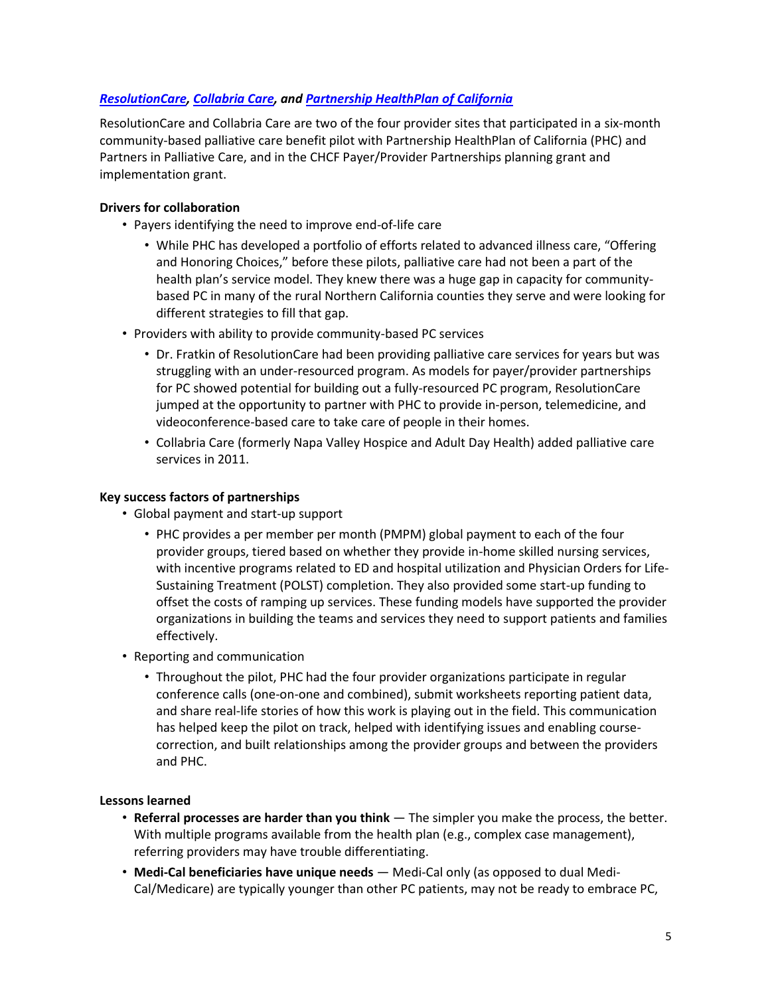## *[ResolutionCare,](http://www.resolutioncare.com/) [Collabria](http://collabriacare.org/) Care, and [Partnership HealthPlan of California](http://www.partnershiphp.org/Pages/PHC.aspx)*

ResolutionCare and Collabria Care are two of the four provider sites that participated in a six-month community-based palliative care benefit pilot with Partnership HealthPlan of California (PHC) and Partners in Palliative Care, and in the CHCF Payer/Provider Partnerships planning grant and implementation grant.

#### **Drivers for collaboration**

- Payers identifying the need to improve end-of-life care
	- While PHC has developed a portfolio of efforts related to advanced illness care, "Offering and Honoring Choices," before these pilots, palliative care had not been a part of the health plan's service model. They knew there was a huge gap in capacity for communitybased PC in many of the rural Northern California counties they serve and were looking for different strategies to fill that gap.
- Providers with ability to provide community-based PC services
	- Dr. Fratkin of ResolutionCare had been providing palliative care services for years but was struggling with an under-resourced program. As models for payer/provider partnerships for PC showed potential for building out a fully-resourced PC program, ResolutionCare jumped at the opportunity to partner with PHC to provide in-person, telemedicine, and videoconference-based care to take care of people in their homes.
	- Collabria Care (formerly Napa Valley Hospice and Adult Day Health) added palliative care services in 2011.

#### **Key success factors of partnerships**

- Global payment and start-up support
	- PHC provides a per member per month (PMPM) global payment to each of the four provider groups, tiered based on whether they provide in-home skilled nursing services, with incentive programs related to ED and hospital utilization and Physician Orders for Life-Sustaining Treatment (POLST) completion. They also provided some start-up funding to offset the costs of ramping up services. These funding models have supported the provider organizations in building the teams and services they need to support patients and families effectively.
- Reporting and communication
	- Throughout the pilot, PHC had the four provider organizations participate in regular conference calls (one-on-one and combined), submit worksheets reporting patient data, and share real-life stories of how this work is playing out in the field. This communication has helped keep the pilot on track, helped with identifying issues and enabling coursecorrection, and built relationships among the provider groups and between the providers and PHC.

#### **Lessons learned**

- **Referral processes are harder than you think** The simpler you make the process, the better. With multiple programs available from the health plan (e.g., complex case management), referring providers may have trouble differentiating.
- **Medi-Cal beneficiaries have unique needs** Medi-Cal only (as opposed to dual Medi-Cal/Medicare) are typically younger than other PC patients, may not be ready to embrace PC,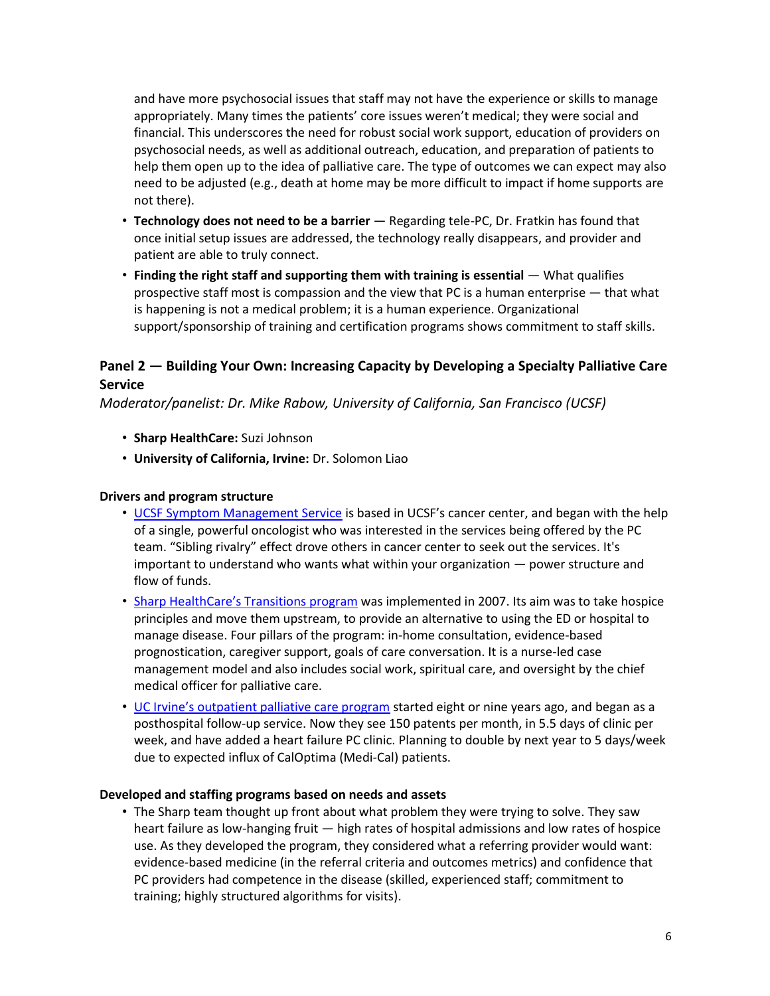and have more psychosocial issues that staff may not have the experience or skills to manage appropriately. Many times the patients' core issues weren't medical; they were social and financial. This underscores the need for robust social work support, education of providers on psychosocial needs, as well as additional outreach, education, and preparation of patients to help them open up to the idea of palliative care. The type of outcomes we can expect may also need to be adjusted (e.g., death at home may be more difficult to impact if home supports are not there).

- **Technology does not need to be a barrier** Regarding tele-PC, Dr. Fratkin has found that once initial setup issues are addressed, the technology really disappears, and provider and patient are able to truly connect.
- **Finding the right staff and supporting them with training is essential** What qualifies prospective staff most is compassion and the view that PC is a human enterprise — that what is happening is not a medical problem; it is a human experience. Organizational support/sponsorship of training and certification programs shows commitment to staff skills.

## **Panel 2 — Building Your Own: Increasing Capacity by Developing a Specialty Palliative Care Service**

*Moderator/panelist: Dr. Mike Rabow, University of California, San Francisco (UCSF)*

- **Sharp HealthCare:** Suzi Johnson
- **University of California, Irvine:** Dr. Solomon Liao

#### **Drivers and program structure**

- [UCSF Symptom Management Service](https://www.ucsfhealth.org/programs/cancer_symptom_management/) is based in UCSF's cancer center, and began with the help of a single, powerful oncologist who was interested in the services being offered by the PC team. "Sibling rivalry" effect drove others in cancer center to seek out the services. It's important to understand who wants what within your organization — power structure and flow of funds.
- [Sharp HealthCare's Transitions program](http://www.sharp.com/services/hospice/transitions-advanced-illness-management-program.cfm) was implemented in 2007. Its aim was to take hospice principles and move them upstream, to provide an alternative to using the ED or hospital to manage disease. Four pillars of the program: in-home consultation, evidence-based prognostication, caregiver support, goals of care conversation. It is a nurse-led case management model and also includes social work, spiritual care, and oversight by the chief medical officer for palliative care.
- [UC Irvine's outpatient palliative care program](http://www.ucirvinehealth.org/medical-services/palliative-care/) started eight or nine years ago, and began as a posthospital follow-up service. Now they see 150 patents per month, in 5.5 days of clinic per week, and have added a heart failure PC clinic. Planning to double by next year to 5 days/week due to expected influx of CalOptima (Medi-Cal) patients.

#### **Developed and staffing programs based on needs and assets**

• The Sharp team thought up front about what problem they were trying to solve. They saw heart failure as low-hanging fruit — high rates of hospital admissions and low rates of hospice use. As they developed the program, they considered what a referring provider would want: evidence-based medicine (in the referral criteria and outcomes metrics) and confidence that PC providers had competence in the disease (skilled, experienced staff; commitment to training; highly structured algorithms for visits).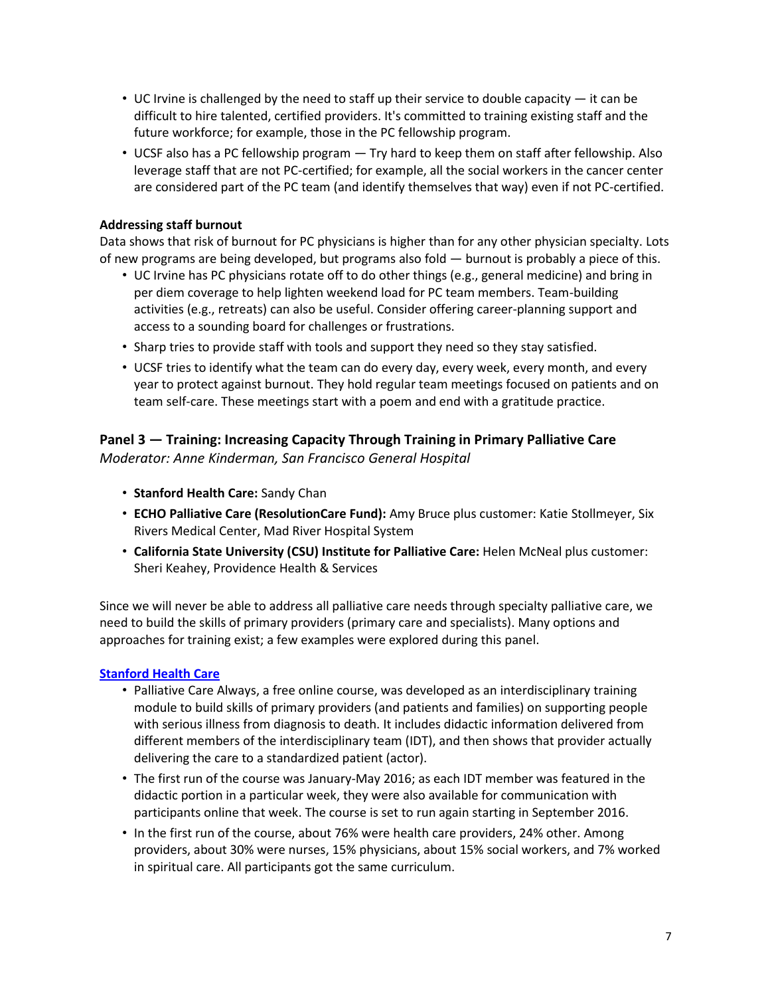- UC Irvine is challenged by the need to staff up their service to double capacity  $-$  it can be difficult to hire talented, certified providers. It's committed to training existing staff and the future workforce; for example, those in the PC fellowship program.
- UCSF also has a PC fellowship program Try hard to keep them on staff after fellowship. Also leverage staff that are not PC-certified; for example, all the social workers in the cancer center are considered part of the PC team (and identify themselves that way) even if not PC-certified.

## **Addressing staff burnout**

Data shows that risk of burnout for PC physicians is higher than for any other physician specialty. Lots of new programs are being developed, but programs also fold — burnout is probably a piece of this.

- UC Irvine has PC physicians rotate off to do other things (e.g., general medicine) and bring in per diem coverage to help lighten weekend load for PC team members. Team-building activities (e.g., retreats) can also be useful. Consider offering career-planning support and access to a sounding board for challenges or frustrations.
- Sharp tries to provide staff with tools and support they need so they stay satisfied.
- UCSF tries to identify what the team can do every day, every week, every month, and every year to protect against burnout. They hold regular team meetings focused on patients and on team self-care. These meetings start with a poem and end with a gratitude practice.

## **Panel 3 — Training: Increasing Capacity Through Training in Primary Palliative Care**  *Moderator: Anne Kinderman, San Francisco General Hospital*

- **Stanford Health Care:** Sandy Chan
- **ECHO Palliative Care (ResolutionCare Fund):** Amy Bruce plus customer: Katie Stollmeyer, Six Rivers Medical Center, Mad River Hospital System
- **California State University (CSU) Institute for Palliative Care:** Helen McNeal plus customer: Sheri Keahey, Providence Health & Services

Since we will never be able to address all palliative care needs through specialty palliative care, we need to build the skills of primary providers (primary care and specialists). Many options and approaches for training exist; a few examples were explored during this panel.

## **[Stanford Health Care](http://online.stanford.edu/course/palliative-care-always)**

- [Palliative Care Always,](https://lagunita.stanford.edu/courses/Medicine/pc_always/Winter2016/about) a free online course, was developed as an interdisciplinary training module to build skills of primary providers (and patients and families) on supporting people with serious illness from diagnosis to death. It includes didactic information delivered from different members of the interdisciplinary team (IDT), and then shows that provider actually delivering the care to a standardized patient (actor).
- The first run of the course was January-May 2016; as each IDT member was featured in the didactic portion in a particular week, they were also available for communication with participants online that week. The course is set to run again starting in September 2016.
- In the first run of the course, about 76% were health care providers, 24% other. Among providers, about 30% were nurses, 15% physicians, about 15% social workers, and 7% worked in spiritual care. All participants got the same curriculum.